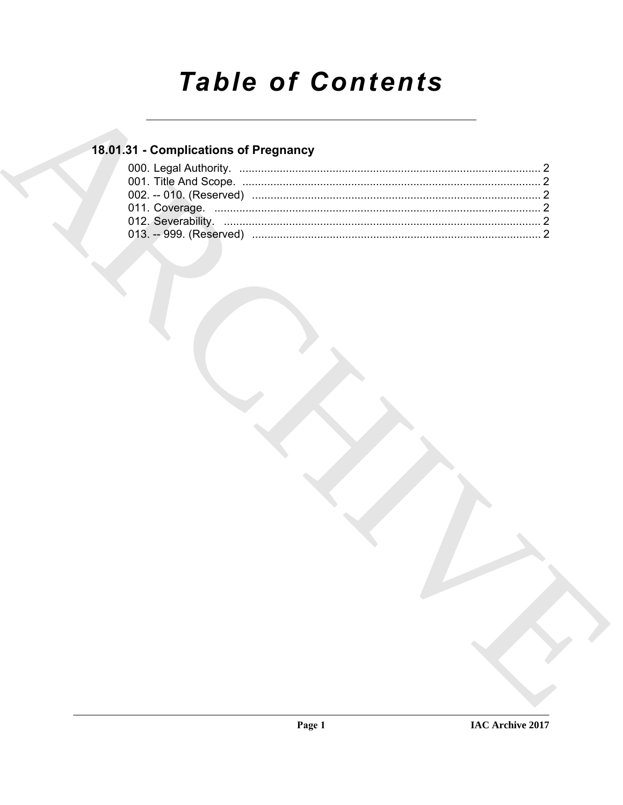# **Table of Contents**

### 18.01.31 - Complications of Pregnancy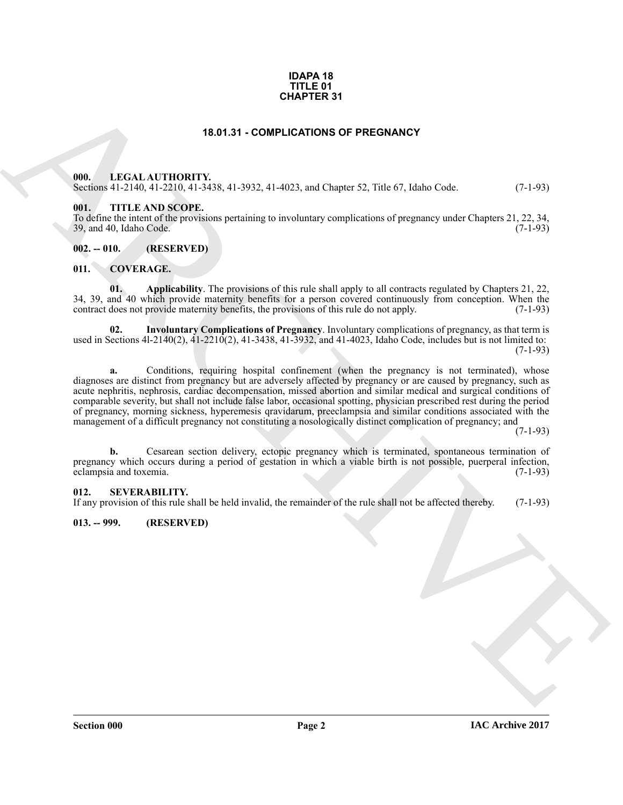#### **IDAPA 18 TITLE 01 CHAPTER 31**

#### **18.01.31 - COMPLICATIONS OF PREGNANCY**

#### <span id="page-1-1"></span><span id="page-1-0"></span>**000. LEGAL AUTHORITY.**

Sections 41-2140, 41-2210, 41-3438, 41-3932, 41-4023, and Chapter 52, Title 67, Idaho Code. (7-1-93)

#### <span id="page-1-2"></span>**001. TITLE AND SCOPE.**

To define the intent of the provisions pertaining to involuntary complications of pregnancy under Chapters 21, 22, 34, 39, and 40, Idaho Code.

<span id="page-1-3"></span>**002. -- 010. (RESERVED)**

#### <span id="page-1-7"></span><span id="page-1-4"></span>**011. COVERAGE.**

<span id="page-1-8"></span>**01. Applicability**. The provisions of this rule shall apply to all contracts regulated by Chapters 21, 22, 34, 39, and 40 which provide maternity benefits for a person covered continuously from conception. When the contract does not provide maternity benefits, the provisions of this rule do not apply. (7-1-93) contract does not provide maternity benefits, the provisions of this rule do not apply.

<span id="page-1-9"></span>**02. Involuntary Complications of Pregnancy**. Involuntary complications of pregnancy, as that term is used in Sections 4l-2140(2), 41-2210(2), 41-3438, 41-3932, and 41-4023, Idaho Code, includes but is not limited to:  $(7-1-93)$ 

**CHAPTER 31**<br> **ARCHIVE COMPLICATION OF PRECHANCY**<br> **ARCHIVE COMPLICATION OF PRECHANCY**<br> **ARCHIVE COMPLICATION OF PRECHANCY**<br> **ARCHIVE CONTRACTES**<br> **ARCHIVE CONTRACTES**<br> **ARCHIVE CONTRACTES**<br> **ARCHIVE CONTRACTES**<br> **ARCHIVE a.** Conditions, requiring hospital confinement (when the pregnancy is not terminated), whose diagnoses are distinct from pregnancy but are adversely affected by pregnancy or are caused by pregnancy, such as acute nephritis, nephrosis, cardiac decompensation, missed abortion and similar medical and surgical conditions of comparable severity, but shall not include false labor, occasional spotting, physician prescribed rest during the period of pregnancy, morning sickness, hyperemesis qravidarum, preeclampsia and similar conditions associated with the management of a difficult pregnancy not constituting a nosologically distinct complication of pregnancy; and

(7-1-93)

**b.** Cesarean section delivery, ectopic pregnancy which is terminated, spontaneous termination of pregnancy which occurs during a period of gestation in which a viable birth is not possible, puerperal infection, eclampsia and toxemia. (7-1-93)

#### <span id="page-1-5"></span>**012. SEVERABILITY.**

If any provision of this rule shall be held invalid, the remainder of the rule shall not be affected thereby. (7-1-93)

#### <span id="page-1-6"></span>**013. -- 999. (RESERVED)**